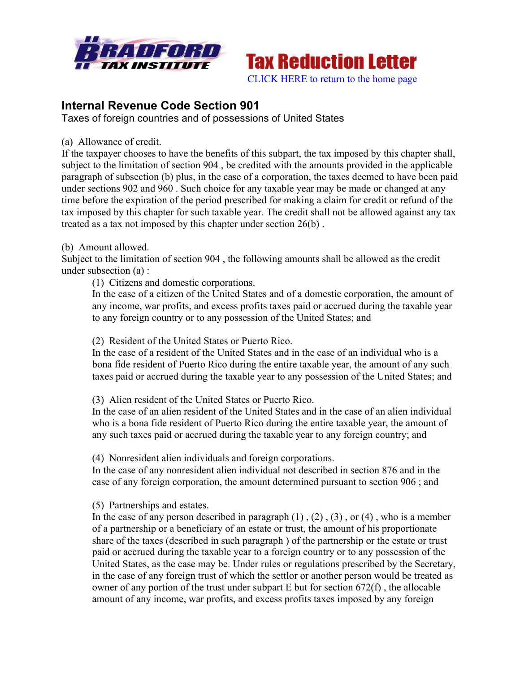



# **Internal Revenue Code Section 901**

Taxes of foreign countries and of possessions of United States

(a) Allowance of credit.

If the taxpayer chooses to have the benefits of this subpart, the tax imposed by this chapter shall, subject to the limitation of section 904 , be credited with the amounts provided in the applicable paragraph of subsection (b) plus, in the case of a corporation, the taxes deemed to have been paid under sections 902 and 960 . Such choice for any taxable year may be made or changed at any time before the expiration of the period prescribed for making a claim for credit or refund of the tax imposed by this chapter for such taxable year. The credit shall not be allowed against any tax treated as a tax not imposed by this chapter under section 26(b) .

# (b) Amount allowed.

Subject to the limitation of section 904 , the following amounts shall be allowed as the credit under subsection (a) :

(1) Citizens and domestic corporations.

In the case of a citizen of the United States and of a domestic corporation, the amount of any income, war profits, and excess profits taxes paid or accrued during the taxable year to any foreign country or to any possession of the United States; and

(2) Resident of the United States or Puerto Rico.

In the case of a resident of the United States and in the case of an individual who is a bona fide resident of Puerto Rico during the entire taxable year, the amount of any such taxes paid or accrued during the taxable year to any possession of the United States; and

(3) Alien resident of the United States or Puerto Rico.

In the case of an alien resident of the United States and in the case of an alien individual who is a bona fide resident of Puerto Rico during the entire taxable year, the amount of any such taxes paid or accrued during the taxable year to any foreign country; and

(4) Nonresident alien individuals and foreign corporations.

In the case of any nonresident alien individual not described in section 876 and in the case of any foreign corporation, the amount determined pursuant to section 906 ; and

(5) Partnerships and estates.

In the case of any person described in paragraph  $(1)$ ,  $(2)$ ,  $(3)$ , or  $(4)$ , who is a member of a partnership or a beneficiary of an estate or trust, the amount of his proportionate share of the taxes (described in such paragraph ) of the partnership or the estate or trust paid or accrued during the taxable year to a foreign country or to any possession of the United States, as the case may be. Under rules or regulations prescribed by the Secretary, in the case of any foreign trust of which the settlor or another person would be treated as owner of any portion of the trust under subpart E but for section 672(f) , the allocable amount of any income, war profits, and excess profits taxes imposed by any foreign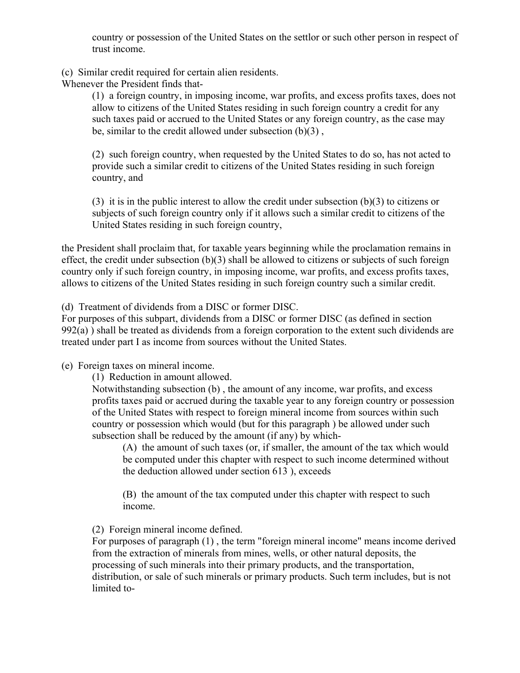country or possession of the United States on the settlor or such other person in respect of trust income.

(c) Similar credit required for certain alien residents.

Whenever the President finds that-

(1) a foreign country, in imposing income, war profits, and excess profits taxes, does not allow to citizens of the United States residing in such foreign country a credit for any such taxes paid or accrued to the United States or any foreign country, as the case may be, similar to the credit allowed under subsection (b)(3) ,

(2) such foreign country, when requested by the United States to do so, has not acted to provide such a similar credit to citizens of the United States residing in such foreign country, and

(3) it is in the public interest to allow the credit under subsection (b)(3) to citizens or subjects of such foreign country only if it allows such a similar credit to citizens of the United States residing in such foreign country,

the President shall proclaim that, for taxable years beginning while the proclamation remains in effect, the credit under subsection (b)(3) shall be allowed to citizens or subjects of such foreign country only if such foreign country, in imposing income, war profits, and excess profits taxes, allows to citizens of the United States residing in such foreign country such a similar credit.

(d) Treatment of dividends from a DISC or former DISC.

For purposes of this subpart, dividends from a DISC or former DISC (as defined in section 992(a) ) shall be treated as dividends from a foreign corporation to the extent such dividends are treated under part I as income from sources without the United States.

(e) Foreign taxes on mineral income.

(1) Reduction in amount allowed.

Notwithstanding subsection (b) , the amount of any income, war profits, and excess profits taxes paid or accrued during the taxable year to any foreign country or possession of the United States with respect to foreign mineral income from sources within such country or possession which would (but for this paragraph ) be allowed under such subsection shall be reduced by the amount (if any) by which-

(A) the amount of such taxes (or, if smaller, the amount of the tax which would be computed under this chapter with respect to such income determined without the deduction allowed under section 613 ), exceeds

(B) the amount of the tax computed under this chapter with respect to such income.

(2) Foreign mineral income defined.

For purposes of paragraph (1) , the term "foreign mineral income" means income derived from the extraction of minerals from mines, wells, or other natural deposits, the processing of such minerals into their primary products, and the transportation, distribution, or sale of such minerals or primary products. Such term includes, but is not limited to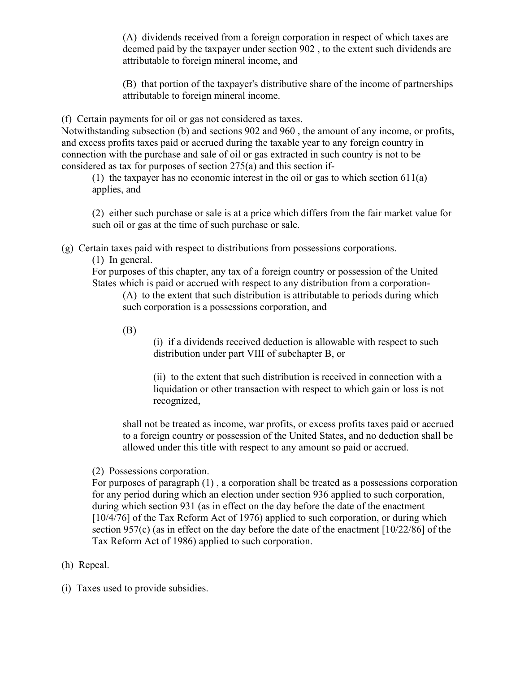(A) dividends received from a foreign corporation in respect of which taxes are deemed paid by the taxpayer under section 902 , to the extent such dividends are attributable to foreign mineral income, and

(B) that portion of the taxpayer's distributive share of the income of partnerships attributable to foreign mineral income.

(f) Certain payments for oil or gas not considered as taxes.

Notwithstanding subsection (b) and sections 902 and 960 , the amount of any income, or profits, and excess profits taxes paid or accrued during the taxable year to any foreign country in connection with the purchase and sale of oil or gas extracted in such country is not to be considered as tax for purposes of section 275(a) and this section if-

(1) the taxpayer has no economic interest in the oil or gas to which section 611(a) applies, and

(2) either such purchase or sale is at a price which differs from the fair market value for such oil or gas at the time of such purchase or sale.

(g) Certain taxes paid with respect to distributions from possessions corporations.

(1) In general.

For purposes of this chapter, any tax of a foreign country or possession of the United States which is paid or accrued with respect to any distribution from a corporation-

(A) to the extent that such distribution is attributable to periods during which such corporation is a possessions corporation, and

(B)

(i) if a dividends received deduction is allowable with respect to such distribution under part VIII of subchapter B, or

(ii) to the extent that such distribution is received in connection with a liquidation or other transaction with respect to which gain or loss is not recognized,

shall not be treated as income, war profits, or excess profits taxes paid or accrued to a foreign country or possession of the United States, and no deduction shall be allowed under this title with respect to any amount so paid or accrued.

(2) Possessions corporation.

For purposes of paragraph (1) , a corporation shall be treated as a possessions corporation for any period during which an election under section 936 applied to such corporation, during which section 931 (as in effect on the day before the date of the enactment [10/4/76] of the Tax Reform Act of 1976) applied to such corporation, or during which section 957(c) (as in effect on the day before the date of the enactment [10/22/86] of the Tax Reform Act of 1986) applied to such corporation.

(h) Repeal.

(i) Taxes used to provide subsidies.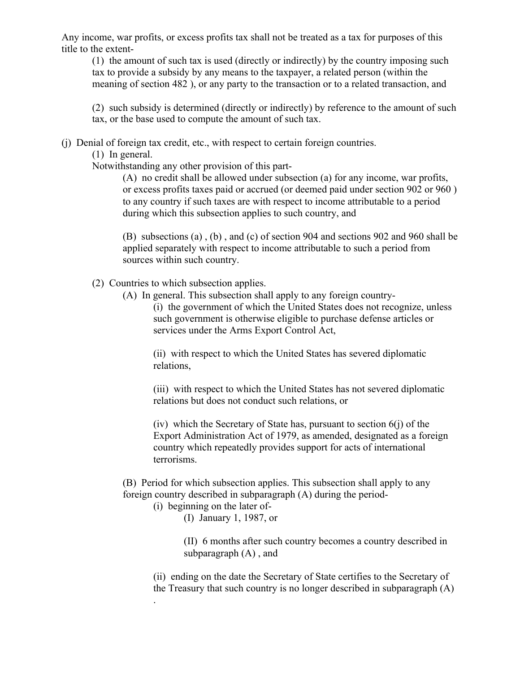Any income, war profits, or excess profits tax shall not be treated as a tax for purposes of this title to the extent-

(1) the amount of such tax is used (directly or indirectly) by the country imposing such tax to provide a subsidy by any means to the taxpayer, a related person (within the meaning of section 482 ), or any party to the transaction or to a related transaction, and

(2) such subsidy is determined (directly or indirectly) by reference to the amount of such tax, or the base used to compute the amount of such tax.

(j) Denial of foreign tax credit, etc., with respect to certain foreign countries.

(1) In general.

Notwithstanding any other provision of this part-

(A) no credit shall be allowed under subsection (a) for any income, war profits, or excess profits taxes paid or accrued (or deemed paid under section 902 or 960 ) to any country if such taxes are with respect to income attributable to a period during which this subsection applies to such country, and

(B) subsections (a) , (b) , and (c) of section 904 and sections 902 and 960 shall be applied separately with respect to income attributable to such a period from sources within such country.

- (2) Countries to which subsection applies.
	- (A) In general. This subsection shall apply to any foreign country-

(i) the government of which the United States does not recognize, unless such government is otherwise eligible to purchase defense articles or services under the Arms Export Control Act,

(ii) with respect to which the United States has severed diplomatic relations,

(iii) with respect to which the United States has not severed diplomatic relations but does not conduct such relations, or

(iv) which the Secretary of State has, pursuant to section  $6(i)$  of the Export Administration Act of 1979, as amended, designated as a foreign country which repeatedly provides support for acts of international terrorisms.

(B) Period for which subsection applies. This subsection shall apply to any foreign country described in subparagraph (A) during the period-

(i) beginning on the later of-

.

(I) January 1, 1987, or

(II) 6 months after such country becomes a country described in subparagraph (A) , and

(ii) ending on the date the Secretary of State certifies to the Secretary of the Treasury that such country is no longer described in subparagraph (A)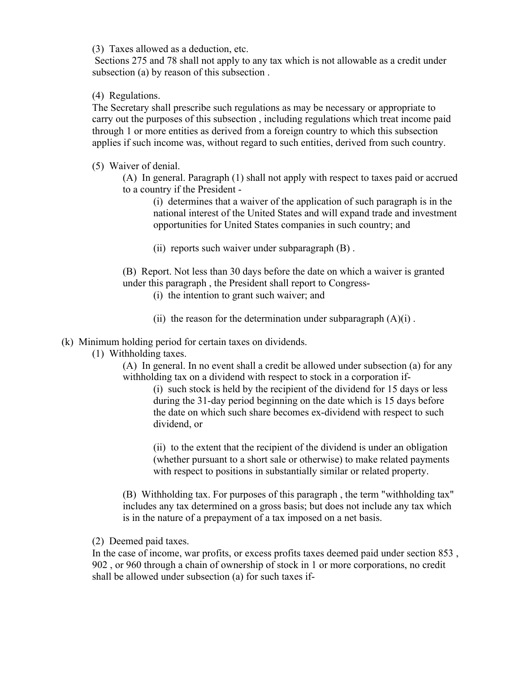(3) Taxes allowed as a deduction, etc.

Sections 275 and 78 shall not apply to any tax which is not allowable as a credit under subsection (a) by reason of this subsection .

# (4) Regulations.

The Secretary shall prescribe such regulations as may be necessary or appropriate to carry out the purposes of this subsection , including regulations which treat income paid through 1 or more entities as derived from a foreign country to which this subsection applies if such income was, without regard to such entities, derived from such country.

# (5) Waiver of denial.

(A) In general. Paragraph (1) shall not apply with respect to taxes paid or accrued to a country if the President -

(i) determines that a waiver of the application of such paragraph is in the national interest of the United States and will expand trade and investment opportunities for United States companies in such country; and

(ii) reports such waiver under subparagraph (B) .

(B) Report. Not less than 30 days before the date on which a waiver is granted under this paragraph , the President shall report to Congress-

(i) the intention to grant such waiver; and

(ii) the reason for the determination under subparagraph  $(A)(i)$ .

# (k) Minimum holding period for certain taxes on dividends.

(1) Withholding taxes.

(A) In general. In no event shall a credit be allowed under subsection (a) for any withholding tax on a dividend with respect to stock in a corporation if-

(i) such stock is held by the recipient of the dividend for 15 days or less during the 31-day period beginning on the date which is 15 days before the date on which such share becomes ex-dividend with respect to such dividend, or

(ii) to the extent that the recipient of the dividend is under an obligation (whether pursuant to a short sale or otherwise) to make related payments with respect to positions in substantially similar or related property.

(B) Withholding tax. For purposes of this paragraph , the term "withholding tax" includes any tax determined on a gross basis; but does not include any tax which is in the nature of a prepayment of a tax imposed on a net basis.

(2) Deemed paid taxes.

In the case of income, war profits, or excess profits taxes deemed paid under section 853 , 902 , or 960 through a chain of ownership of stock in 1 or more corporations, no credit shall be allowed under subsection (a) for such taxes if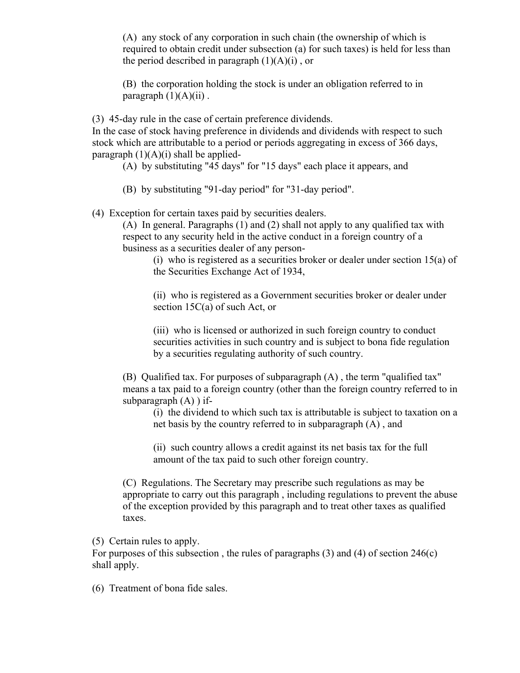(A) any stock of any corporation in such chain (the ownership of which is required to obtain credit under subsection (a) for such taxes) is held for less than the period described in paragraph  $(1)(A)(i)$ , or

(B) the corporation holding the stock is under an obligation referred to in paragraph  $(1)(A)(ii)$ .

(3) 45-day rule in the case of certain preference dividends.

In the case of stock having preference in dividends and dividends with respect to such stock which are attributable to a period or periods aggregating in excess of 366 days, paragraph  $(1)(A)(i)$  shall be applied-

(A) by substituting "45 days" for "15 days" each place it appears, and

(B) by substituting "91-day period" for "31-day period".

(4) Exception for certain taxes paid by securities dealers.

(A) In general. Paragraphs (1) and (2) shall not apply to any qualified tax with respect to any security held in the active conduct in a foreign country of a business as a securities dealer of any person-

(i) who is registered as a securities broker or dealer under section 15(a) of the Securities Exchange Act of 1934,

(ii) who is registered as a Government securities broker or dealer under section 15C(a) of such Act, or

(iii) who is licensed or authorized in such foreign country to conduct securities activities in such country and is subject to bona fide regulation by a securities regulating authority of such country.

(B) Qualified tax. For purposes of subparagraph (A) , the term "qualified tax" means a tax paid to a foreign country (other than the foreign country referred to in subparagraph  $(A)$ ) if-

(i) the dividend to which such tax is attributable is subject to taxation on a net basis by the country referred to in subparagraph (A) , and

(ii) such country allows a credit against its net basis tax for the full amount of the tax paid to such other foreign country.

(C) Regulations. The Secretary may prescribe such regulations as may be appropriate to carry out this paragraph , including regulations to prevent the abuse of the exception provided by this paragraph and to treat other taxes as qualified taxes.

(5) Certain rules to apply.

For purposes of this subsection , the rules of paragraphs (3) and (4) of section 246(c) shall apply.

(6) Treatment of bona fide sales.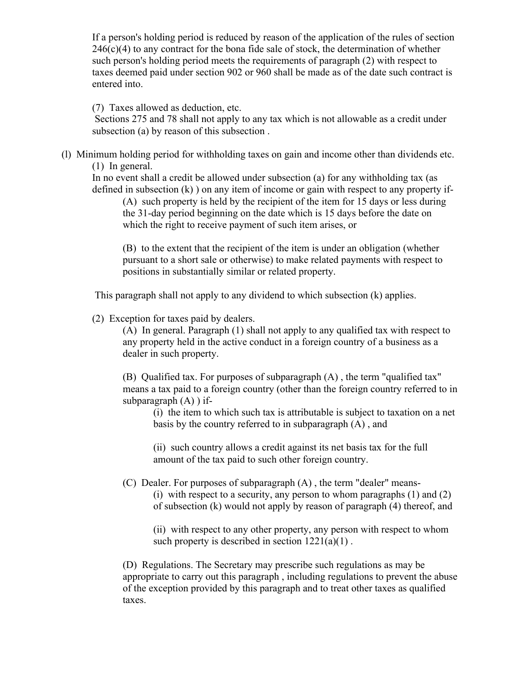If a person's holding period is reduced by reason of the application of the rules of section  $246(c)(4)$  to any contract for the bona fide sale of stock, the determination of whether such person's holding period meets the requirements of paragraph (2) with respect to taxes deemed paid under section 902 or 960 shall be made as of the date such contract is entered into.

(7) Taxes allowed as deduction, etc.

Sections 275 and 78 shall not apply to any tax which is not allowable as a credit under subsection (a) by reason of this subsection .

(l) Minimum holding period for withholding taxes on gain and income other than dividends etc. (1) In general.

In no event shall a credit be allowed under subsection (a) for any withholding tax (as defined in subsection (k) ) on any item of income or gain with respect to any property if-

(A) such property is held by the recipient of the item for 15 days or less during the 31-day period beginning on the date which is 15 days before the date on which the right to receive payment of such item arises, or

(B) to the extent that the recipient of the item is under an obligation (whether pursuant to a short sale or otherwise) to make related payments with respect to positions in substantially similar or related property.

This paragraph shall not apply to any dividend to which subsection (k) applies.

(2) Exception for taxes paid by dealers.

(A) In general. Paragraph (1) shall not apply to any qualified tax with respect to any property held in the active conduct in a foreign country of a business as a dealer in such property.

(B) Qualified tax. For purposes of subparagraph (A) , the term "qualified tax" means a tax paid to a foreign country (other than the foreign country referred to in subparagraph  $(A)$ ) if-

(i) the item to which such tax is attributable is subject to taxation on a net basis by the country referred to in subparagraph (A) , and

(ii) such country allows a credit against its net basis tax for the full amount of the tax paid to such other foreign country.

(C) Dealer. For purposes of subparagraph (A) , the term "dealer" means- (i) with respect to a security, any person to whom paragraphs (1) and (2) of subsection (k) would not apply by reason of paragraph (4) thereof, and

(ii) with respect to any other property, any person with respect to whom such property is described in section  $1221(a)(1)$ .

(D) Regulations. The Secretary may prescribe such regulations as may be appropriate to carry out this paragraph , including regulations to prevent the abuse of the exception provided by this paragraph and to treat other taxes as qualified taxes.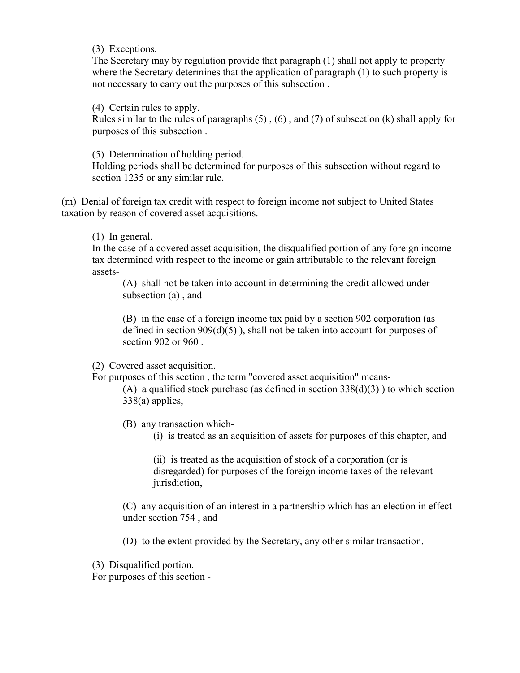(3) Exceptions.

The Secretary may by regulation provide that paragraph (1) shall not apply to property where the Secretary determines that the application of paragraph (1) to such property is not necessary to carry out the purposes of this subsection .

(4) Certain rules to apply.

Rules similar to the rules of paragraphs  $(5)$ ,  $(6)$ , and  $(7)$  of subsection  $(k)$  shall apply for purposes of this subsection .

(5) Determination of holding period.

Holding periods shall be determined for purposes of this subsection without regard to section 1235 or any similar rule.

(m) Denial of foreign tax credit with respect to foreign income not subject to United States taxation by reason of covered asset acquisitions.

(1) In general.

In the case of a covered asset acquisition, the disqualified portion of any foreign income tax determined with respect to the income or gain attributable to the relevant foreign assets-

(A) shall not be taken into account in determining the credit allowed under subsection (a) , and

(B) in the case of a foreign income tax paid by a section 902 corporation (as defined in section  $909(d)(5)$ , shall not be taken into account for purposes of section 902 or 960 .

(2) Covered asset acquisition.

For purposes of this section , the term "covered asset acquisition" means-

(A) a qualified stock purchase (as defined in section  $338(d)(3)$ ) to which section 338(a) applies,

(B) any transaction which-

(i) is treated as an acquisition of assets for purposes of this chapter, and

(ii) is treated as the acquisition of stock of a corporation (or is disregarded) for purposes of the foreign income taxes of the relevant jurisdiction,

(C) any acquisition of an interest in a partnership which has an election in effect under section 754 , and

(D) to the extent provided by the Secretary, any other similar transaction.

(3) Disqualified portion.

For purposes of this section -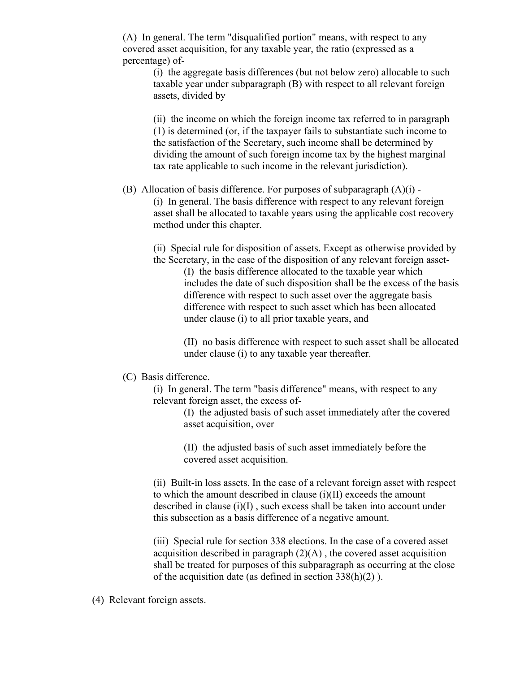(A) In general. The term "disqualified portion" means, with respect to any covered asset acquisition, for any taxable year, the ratio (expressed as a percentage) of-

(i) the aggregate basis differences (but not below zero) allocable to such taxable year under subparagraph (B) with respect to all relevant foreign assets, divided by

(ii) the income on which the foreign income tax referred to in paragraph (1) is determined (or, if the taxpayer fails to substantiate such income to the satisfaction of the Secretary, such income shall be determined by dividing the amount of such foreign income tax by the highest marginal tax rate applicable to such income in the relevant jurisdiction).

### (B) Allocation of basis difference. For purposes of subparagraph  $(A)(i)$  -

(i) In general. The basis difference with respect to any relevant foreign asset shall be allocated to taxable years using the applicable cost recovery method under this chapter.

(ii) Special rule for disposition of assets. Except as otherwise provided by the Secretary, in the case of the disposition of any relevant foreign asset-

(I) the basis difference allocated to the taxable year which includes the date of such disposition shall be the excess of the basis difference with respect to such asset over the aggregate basis difference with respect to such asset which has been allocated under clause (i) to all prior taxable years, and

(II) no basis difference with respect to such asset shall be allocated under clause (i) to any taxable year thereafter.

#### (C) Basis difference.

(i) In general. The term "basis difference" means, with respect to any relevant foreign asset, the excess of-

> (I) the adjusted basis of such asset immediately after the covered asset acquisition, over

(II) the adjusted basis of such asset immediately before the covered asset acquisition.

(ii) Built-in loss assets. In the case of a relevant foreign asset with respect to which the amount described in clause (i)(II) exceeds the amount described in clause (i)(I) , such excess shall be taken into account under this subsection as a basis difference of a negative amount.

(iii) Special rule for section 338 elections. In the case of a covered asset acquisition described in paragraph  $(2)(A)$ , the covered asset acquisition shall be treated for purposes of this subparagraph as occurring at the close of the acquisition date (as defined in section 338(h)(2) ).

# (4) Relevant foreign assets.